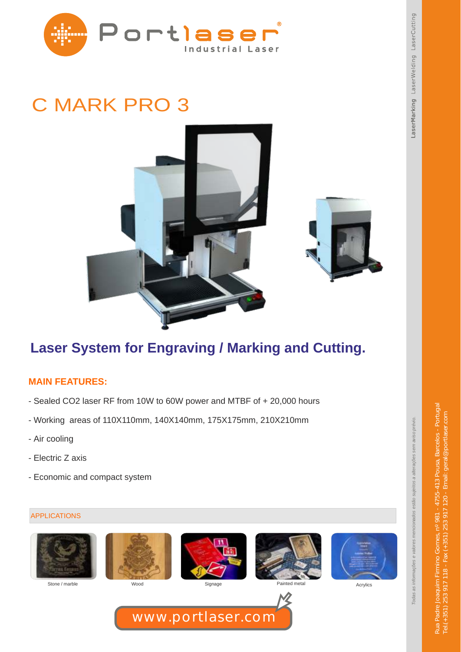

# C MARK PRO 3





### **Laser System for Engraving / Marking and Cutting.**

### **MAIN FEATURES:**

- Sealed CO2 laser RF from 10W to 60W power and MTBF of + 20,000 hours
- Working areas of 110X110mm, 140X140mm, 175X175mm, 210X210mm
- Air cooling
- Electric Z axis
- Economic and compact system

#### APPLICATIONS







www.portlaser.com





Stone / marble **Mood** Wood Signage Painted metal Acrylics Acrylics



Rua Padre Joaquim Firmino Gomes, nº 981 - 4755-413 Pousa, Barcelos - Portugal Tel.(+351) 253 917 118 - Fax (+351) 253 917 120 - Email: geral@portlaser.com

253 917 118 - Fax (+351) 253 917 120 - Email: geral

**BDNTIOC**